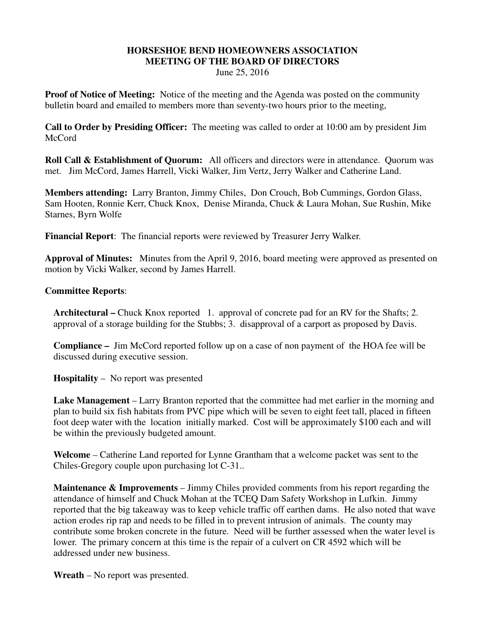## **HORSESHOE BEND HOMEOWNERS ASSOCIATION MEETING OF THE BOARD OF DIRECTORS**

June 25, 2016

**Proof of Notice of Meeting:** Notice of the meeting and the Agenda was posted on the community bulletin board and emailed to members more than seventy-two hours prior to the meeting,

**Call to Order by Presiding Officer:** The meeting was called to order at 10:00 am by president Jim McCord

**Roll Call & Establishment of Quorum:** All officers and directors were in attendance. Quorum was met. Jim McCord, James Harrell, Vicki Walker, Jim Vertz, Jerry Walker and Catherine Land.

**Members attending:** Larry Branton, Jimmy Chiles, Don Crouch, Bob Cummings, Gordon Glass, Sam Hooten, Ronnie Kerr, Chuck Knox, Denise Miranda, Chuck & Laura Mohan, Sue Rushin, Mike Starnes, Byrn Wolfe

**Financial Report**: The financial reports were reviewed by Treasurer Jerry Walker.

**Approval of Minutes:** Minutes from the April 9, 2016, board meeting were approved as presented on motion by Vicki Walker, second by James Harrell.

## **Committee Reports**:

**Architectural –** Chuck Knox reported 1. approval of concrete pad for an RV for the Shafts; 2. approval of a storage building for the Stubbs; 3. disapproval of a carport as proposed by Davis.

**Compliance –** Jim McCord reported follow up on a case of non payment of the HOA fee will be discussed during executive session.

**Hospitality** – No report was presented

**Lake Management** – Larry Branton reported that the committee had met earlier in the morning and plan to build six fish habitats from PVC pipe which will be seven to eight feet tall, placed in fifteen foot deep water with the location initially marked. Cost will be approximately \$100 each and will be within the previously budgeted amount.

**Welcome** – Catherine Land reported for Lynne Grantham that a welcome packet was sent to the Chiles-Gregory couple upon purchasing lot C-31..

**Maintenance & Improvements** – Jimmy Chiles provided comments from his report regarding the attendance of himself and Chuck Mohan at the TCEQ Dam Safety Workshop in Lufkin. Jimmy reported that the big takeaway was to keep vehicle traffic off earthen dams. He also noted that wave action erodes rip rap and needs to be filled in to prevent intrusion of animals. The county may contribute some broken concrete in the future. Need will be further assessed when the water level is lower. The primary concern at this time is the repair of a culvert on CR 4592 which will be addressed under new business.

**Wreath** – No report was presented.